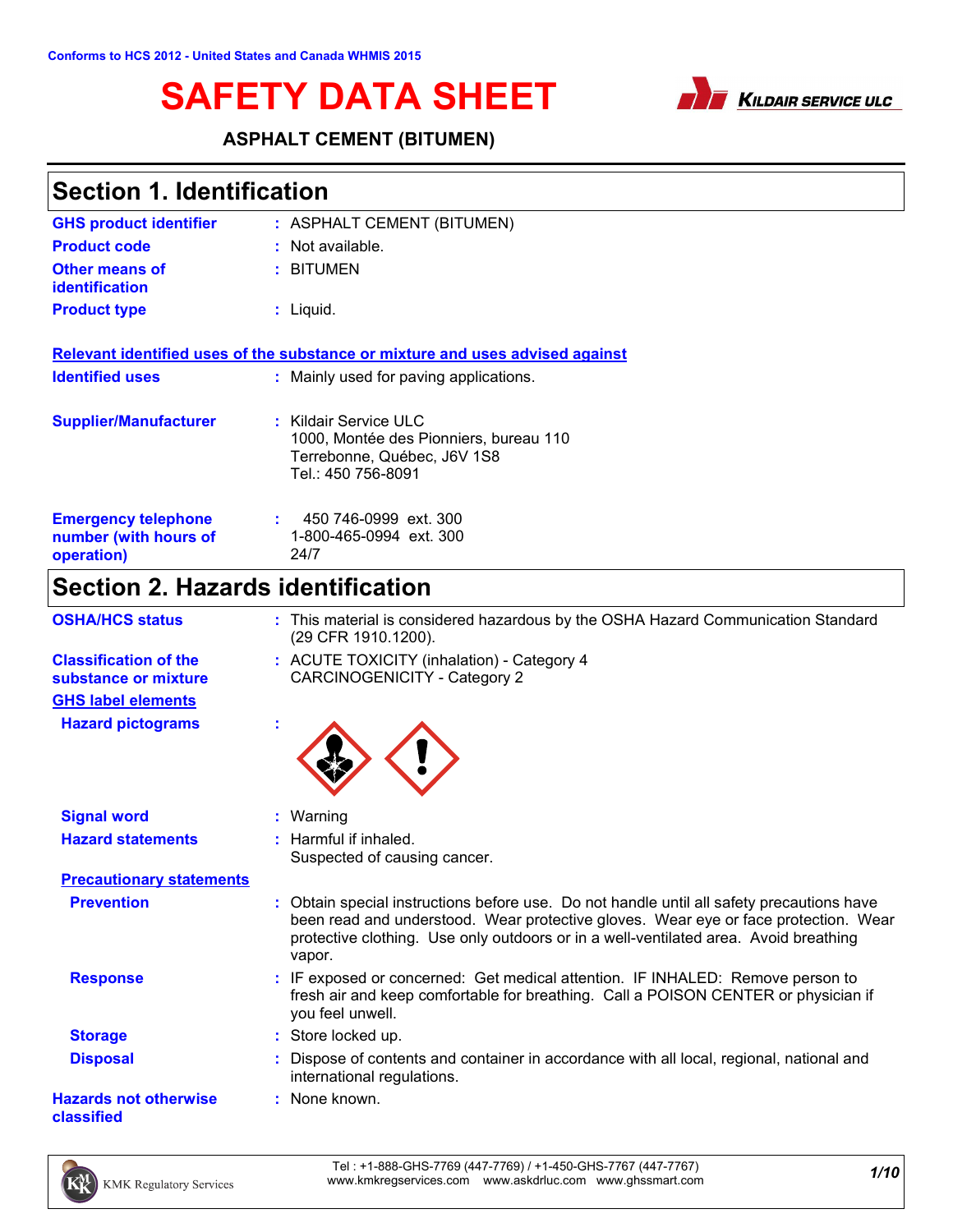



### **ASPHALT CEMENT (BITUMEN)**

| Section 1. Identification |                             |
|---------------------------|-----------------------------|
| CUS product identifier    | . ACDUALT CEMENT (DITUMENI) |

| <b>GHS product identifier</b>                  | : ASPHALT CEMENT (BITUMEN)                                                    |
|------------------------------------------------|-------------------------------------------------------------------------------|
| <b>Product code</b>                            | : Not available.                                                              |
| <b>Other means of</b><br><b>identification</b> | : BITUMEN                                                                     |
| <b>Product type</b>                            | $:$ Liquid.                                                                   |
|                                                |                                                                               |
|                                                | Relevant identified uses of the substance or mixture and uses advised against |
| <b>Identified uses</b>                         | : Mainly used for paving applications.                                        |
|                                                |                                                                               |
| <b>Supplier/Manufacturer</b>                   | : Kildair Service ULC                                                         |
|                                                | 1000, Montée des Pionniers, bureau 110                                        |
|                                                | Terrebonne, Québec, J6V 1S8<br>Tel.: 450 756-8091                             |
|                                                |                                                                               |
| <b>Emergency telephone</b>                     | 450 746-0999 ext. 300                                                         |
| number (with hours of                          | 1-800-465-0994 ext. 300                                                       |
| operation)                                     | 24/7                                                                          |
|                                                |                                                                               |

# **Section 2. Hazards identification**

| <b>OSHA/HCS status</b>                               | : This material is considered hazardous by the OSHA Hazard Communication Standard<br>(29 CFR 1910.1200).                                                                                                                                                                           |
|------------------------------------------------------|------------------------------------------------------------------------------------------------------------------------------------------------------------------------------------------------------------------------------------------------------------------------------------|
| <b>Classification of the</b><br>substance or mixture | : ACUTE TOXICITY (inhalation) - Category 4<br><b>CARCINOGENICITY - Category 2</b>                                                                                                                                                                                                  |
| <b>GHS label elements</b>                            |                                                                                                                                                                                                                                                                                    |
| <b>Hazard pictograms</b>                             |                                                                                                                                                                                                                                                                                    |
| <b>Signal word</b>                                   | : Warning                                                                                                                                                                                                                                                                          |
| <b>Hazard statements</b>                             | : Harmful if inhaled.<br>Suspected of causing cancer.                                                                                                                                                                                                                              |
| <b>Precautionary statements</b>                      |                                                                                                                                                                                                                                                                                    |
| <b>Prevention</b>                                    | : Obtain special instructions before use. Do not handle until all safety precautions have<br>been read and understood. Wear protective gloves. Wear eye or face protection. Wear<br>protective clothing. Use only outdoors or in a well-ventilated area. Avoid breathing<br>vapor. |
| <b>Response</b>                                      | : IF exposed or concerned: Get medical attention. IF INHALED: Remove person to<br>fresh air and keep comfortable for breathing. Call a POISON CENTER or physician if<br>you feel unwell.                                                                                           |
| <b>Storage</b>                                       | : Store locked up.                                                                                                                                                                                                                                                                 |
| <b>Disposal</b>                                      | Dispose of contents and container in accordance with all local, regional, national and<br>international regulations.                                                                                                                                                               |
| <b>Hazards not otherwise</b><br>classified           | : None known.                                                                                                                                                                                                                                                                      |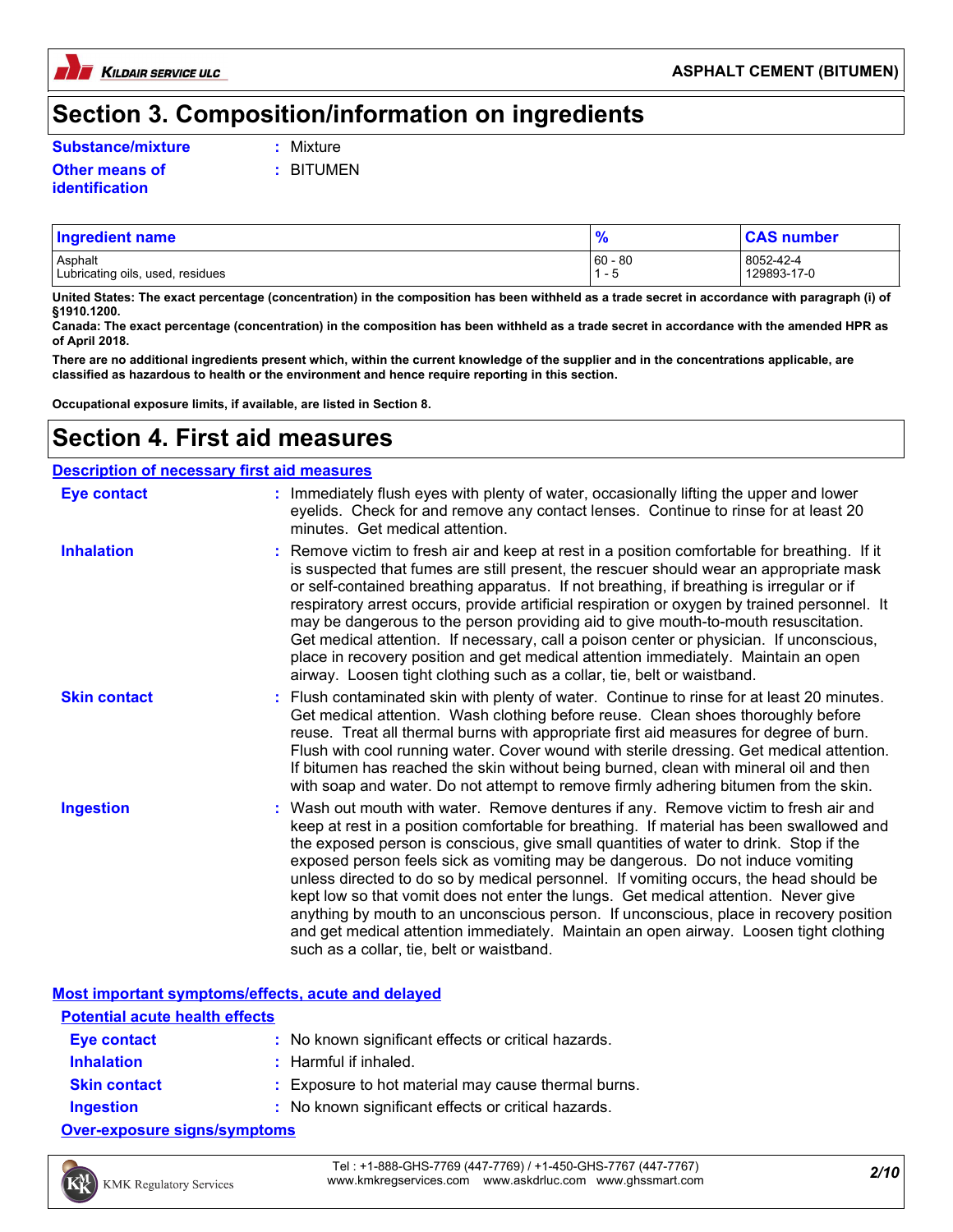

### **Section 3. Composition/information on ingredients**

#### **Substance/mixture :** Mixture

**Other means of identification**

**:** BITUMEN

| <b>Ingredient name</b>           |           | <b>CAS number</b> |
|----------------------------------|-----------|-------------------|
| Asphalt                          | $60 - 80$ | 8052-42-4         |
| Lubricating oils, used, residues | - 0       | 129893-17-0       |

**United States: The exact percentage (concentration) in the composition has been withheld as a trade secret in accordance with paragraph (i) of §1910.1200.**

**Canada: The exact percentage (concentration) in the composition has been withheld as a trade secret in accordance with the amended HPR as of April 2018.**

**There are no additional ingredients present which, within the current knowledge of the supplier and in the concentrations applicable, are classified as hazardous to health or the environment and hence require reporting in this section.**

**Occupational exposure limits, if available, are listed in Section 8.**

### **Section 4. First aid measures**

#### Wash out mouth with water. Remove dentures if any. Remove victim to fresh air and **Ingestion :** keep at rest in a position comfortable for breathing. If material has been swallowed and the exposed person is conscious, give small quantities of water to drink. Stop if the exposed person feels sick as vomiting may be dangerous. Do not induce vomiting unless directed to do so by medical personnel. If vomiting occurs, the head should be kept low so that vomit does not enter the lungs. Get medical attention. Never give anything by mouth to an unconscious person. If unconscious, place in recovery position and get medical attention immediately. Maintain an open airway. Loosen tight clothing such as a collar, tie, belt or waistband. : Immediately flush eyes with plenty of water, occasionally lifting the upper and lower eyelids. Check for and remove any contact lenses. Continue to rinse for at least 20 minutes. Get medical attention. Flush contaminated skin with plenty of water. Continue to rinse for at least 20 minutes. **:** Get medical attention. Wash clothing before reuse. Clean shoes thoroughly before reuse. Treat all thermal burns with appropriate first aid measures for degree of burn. Flush with cool running water. Cover wound with sterile dressing. Get medical attention. If bitumen has reached the skin without being burned, clean with mineral oil and then with soap and water. Do not attempt to remove firmly adhering bitumen from the skin. **:** Remove victim to fresh air and keep at rest in a position comfortable for breathing. If it is suspected that fumes are still present, the rescuer should wear an appropriate mask or self-contained breathing apparatus. If not breathing, if breathing is irregular or if respiratory arrest occurs, provide artificial respiration or oxygen by trained personnel. It may be dangerous to the person providing aid to give mouth-to-mouth resuscitation. Get medical attention. If necessary, call a poison center or physician. If unconscious, place in recovery position and get medical attention immediately. Maintain an open airway. Loosen tight clothing such as a collar, tie, belt or waistband. **Eye contact Skin contact Inhalation Description of necessary first aid measures**

**Most important symptoms/effects, acute and delayed**

| <b>Potential acute health effects</b> |                                                     |
|---------------------------------------|-----------------------------------------------------|
| Eye contact                           | : No known significant effects or critical hazards. |
| <b>Inhalation</b>                     | $:$ Harmful if inhaled.                             |
| <b>Skin contact</b>                   | : Exposure to hot material may cause thermal burns. |
| <b>Ingestion</b>                      | : No known significant effects or critical hazards. |
| <b>Over-exposure signs/symptoms</b>   |                                                     |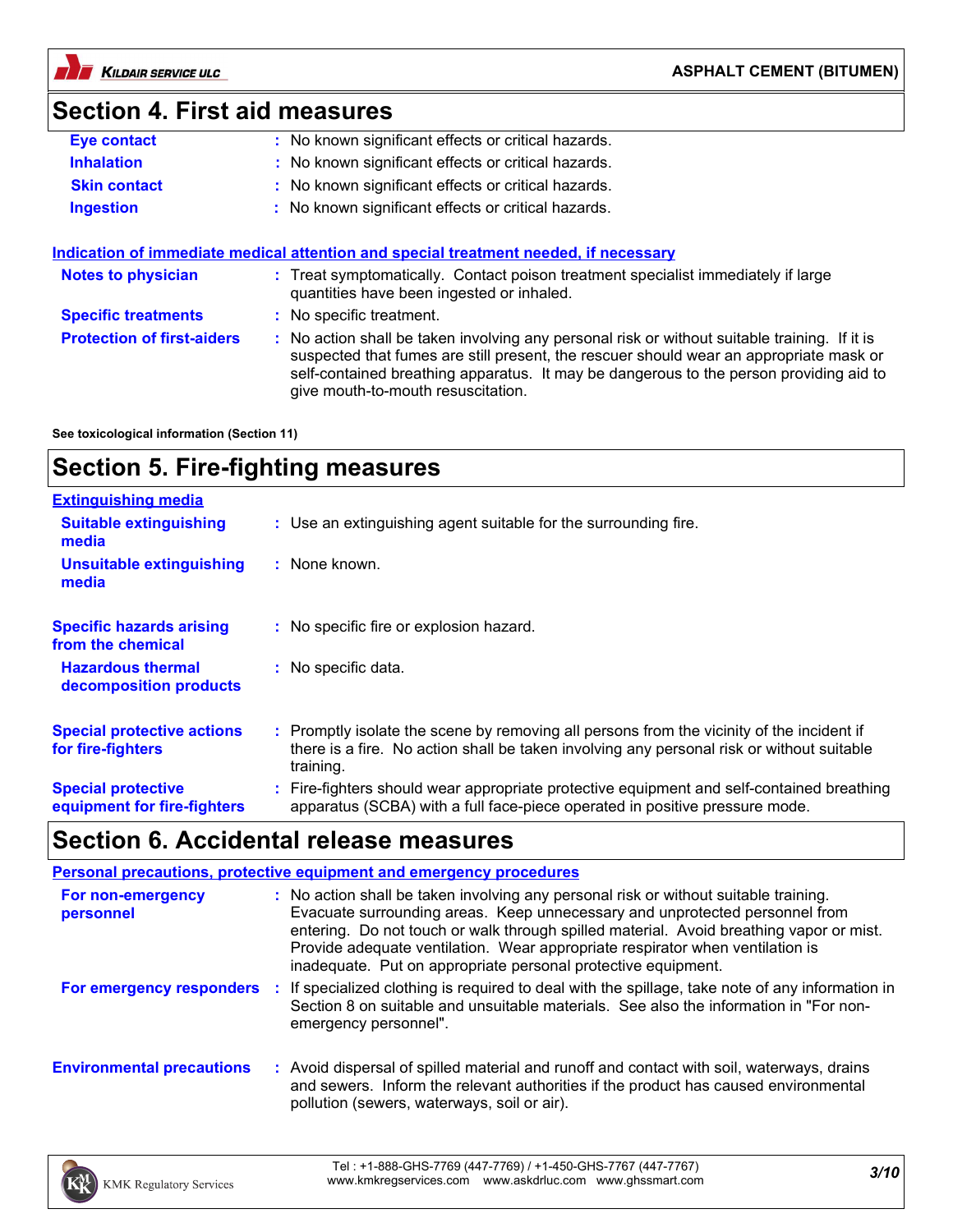

# **Section 4. First aid measures**

| Eye contact                       | : No known significant effects or critical hazards.                                                                                                                                                                                                                                                                     |
|-----------------------------------|-------------------------------------------------------------------------------------------------------------------------------------------------------------------------------------------------------------------------------------------------------------------------------------------------------------------------|
| <b>Inhalation</b>                 | : No known significant effects or critical hazards.                                                                                                                                                                                                                                                                     |
| <b>Skin contact</b>               | : No known significant effects or critical hazards.                                                                                                                                                                                                                                                                     |
| <b>Ingestion</b>                  | : No known significant effects or critical hazards.                                                                                                                                                                                                                                                                     |
|                                   |                                                                                                                                                                                                                                                                                                                         |
|                                   | Indication of immediate medical attention and special treatment needed, if necessary                                                                                                                                                                                                                                    |
| <b>Notes to physician</b>         | : Treat symptomatically. Contact poison treatment specialist immediately if large<br>quantities have been ingested or inhaled.                                                                                                                                                                                          |
| <b>Specific treatments</b>        | : No specific treatment.                                                                                                                                                                                                                                                                                                |
| <b>Protection of first-aiders</b> | : No action shall be taken involving any personal risk or without suitable training. If it is<br>suspected that fumes are still present, the rescuer should wear an appropriate mask or<br>self-contained breathing apparatus. It may be dangerous to the person providing aid to<br>give mouth-to-mouth resuscitation. |

**See toxicological information (Section 11)**

### **Section 5. Fire-fighting measures**

| <b>Extinguishing media</b>                               |                                                                                                                                                                                                     |
|----------------------------------------------------------|-----------------------------------------------------------------------------------------------------------------------------------------------------------------------------------------------------|
| <b>Suitable extinguishing</b><br>media                   | : Use an extinguishing agent suitable for the surrounding fire.                                                                                                                                     |
| <b>Unsuitable extinguishing</b><br>media                 | : None known.                                                                                                                                                                                       |
| <b>Specific hazards arising</b><br>from the chemical     | : No specific fire or explosion hazard.                                                                                                                                                             |
| <b>Hazardous thermal</b><br>decomposition products       | : No specific data.                                                                                                                                                                                 |
| <b>Special protective actions</b><br>for fire-fighters   | : Promptly isolate the scene by removing all persons from the vicinity of the incident if<br>there is a fire. No action shall be taken involving any personal risk or without suitable<br>training. |
| <b>Special protective</b><br>equipment for fire-fighters | : Fire-fighters should wear appropriate protective equipment and self-contained breathing<br>apparatus (SCBA) with a full face-piece operated in positive pressure mode.                            |

### **Section 6. Accidental release measures**

|                                  | <b>Personal precautions, protective equipment and emergency procedures</b>                                                                                                                                                                                                                                                                                                                                       |
|----------------------------------|------------------------------------------------------------------------------------------------------------------------------------------------------------------------------------------------------------------------------------------------------------------------------------------------------------------------------------------------------------------------------------------------------------------|
| For non-emergency<br>personnel   | : No action shall be taken involving any personal risk or without suitable training.<br>Evacuate surrounding areas. Keep unnecessary and unprotected personnel from<br>entering. Do not touch or walk through spilled material. Avoid breathing vapor or mist.<br>Provide adequate ventilation. Wear appropriate respirator when ventilation is<br>inadequate. Put on appropriate personal protective equipment. |
| For emergency responders         | If specialized clothing is required to deal with the spillage, take note of any information in<br>Section 8 on suitable and unsuitable materials. See also the information in "For non-<br>emergency personnel".                                                                                                                                                                                                 |
| <b>Environmental precautions</b> | Avoid dispersal of spilled material and runoff and contact with soil, waterways, drains<br>and sewers. Inform the relevant authorities if the product has caused environmental<br>pollution (sewers, waterways, soil or air).                                                                                                                                                                                    |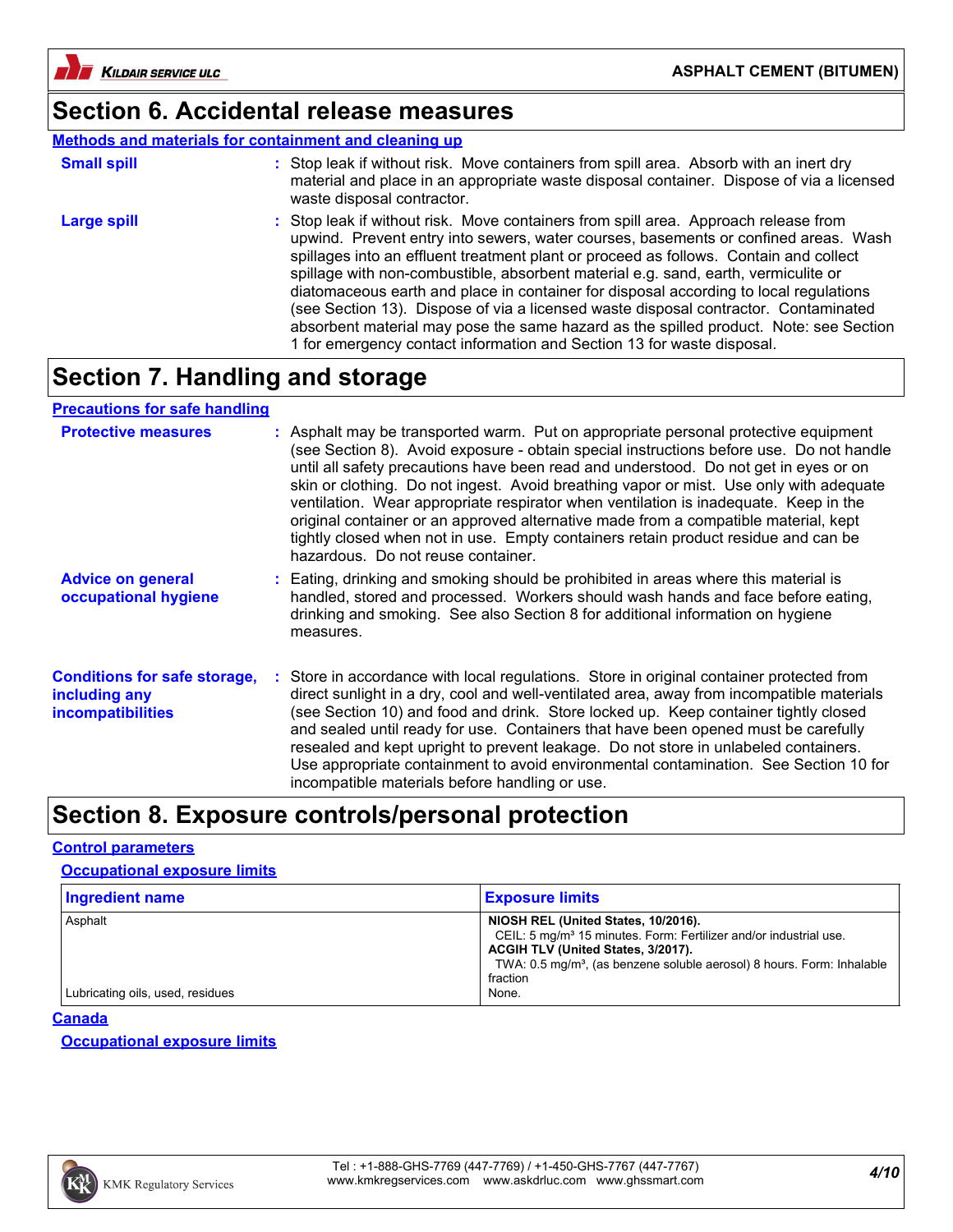

### **Section 6. Accidental release measures**

### **Methods and materials for containment and cleaning up**

| <b>Small spill</b> | : Stop leak if without risk. Move containers from spill area. Absorb with an inert dry<br>material and place in an appropriate waste disposal container. Dispose of via a licensed<br>waste disposal contractor.                                                                                                                                                                                                                                                                                                                                                                                                                                                                                             |
|--------------------|--------------------------------------------------------------------------------------------------------------------------------------------------------------------------------------------------------------------------------------------------------------------------------------------------------------------------------------------------------------------------------------------------------------------------------------------------------------------------------------------------------------------------------------------------------------------------------------------------------------------------------------------------------------------------------------------------------------|
| Large spill        | : Stop leak if without risk. Move containers from spill area. Approach release from<br>upwind. Prevent entry into sewers, water courses, basements or confined areas. Wash<br>spillages into an effluent treatment plant or proceed as follows. Contain and collect<br>spillage with non-combustible, absorbent material e.g. sand, earth, vermiculite or<br>diatomaceous earth and place in container for disposal according to local regulations<br>(see Section 13). Dispose of via a licensed waste disposal contractor. Contaminated<br>absorbent material may pose the same hazard as the spilled product. Note: see Section<br>1 for emergency contact information and Section 13 for waste disposal. |

### **Section 7. Handling and storage**

# **Precautions for safe handling**

| <b>Protective measures</b>                                                       | : Asphalt may be transported warm. Put on appropriate personal protective equipment<br>(see Section 8). Avoid exposure - obtain special instructions before use. Do not handle<br>until all safety precautions have been read and understood. Do not get in eyes or on<br>skin or clothing. Do not ingest. Avoid breathing vapor or mist. Use only with adequate<br>ventilation. Wear appropriate respirator when ventilation is inadequate. Keep in the<br>original container or an approved alternative made from a compatible material, kept<br>tightly closed when not in use. Empty containers retain product residue and can be<br>hazardous. Do not reuse container. |
|----------------------------------------------------------------------------------|-----------------------------------------------------------------------------------------------------------------------------------------------------------------------------------------------------------------------------------------------------------------------------------------------------------------------------------------------------------------------------------------------------------------------------------------------------------------------------------------------------------------------------------------------------------------------------------------------------------------------------------------------------------------------------|
| <b>Advice on general</b><br>occupational hygiene                                 | : Eating, drinking and smoking should be prohibited in areas where this material is<br>handled, stored and processed. Workers should wash hands and face before eating,<br>drinking and smoking. See also Section 8 for additional information on hygiene<br>measures.                                                                                                                                                                                                                                                                                                                                                                                                      |
| <b>Conditions for safe storage,</b><br>including any<br><b>incompatibilities</b> | : Store in accordance with local regulations. Store in original container protected from<br>direct sunlight in a dry, cool and well-ventilated area, away from incompatible materials<br>(see Section 10) and food and drink. Store locked up. Keep container tightly closed<br>and sealed until ready for use. Containers that have been opened must be carefully<br>resealed and kept upright to prevent leakage. Do not store in unlabeled containers.<br>Use appropriate containment to avoid environmental contamination. See Section 10 for<br>incompatible materials before handling or use.                                                                         |

### **Section 8. Exposure controls/personal protection**

#### **Control parameters**

#### **Occupational exposure limits**

| Ingredient name                  | <b>Exposure limits</b>                                                                                                                                                                                                                                       |
|----------------------------------|--------------------------------------------------------------------------------------------------------------------------------------------------------------------------------------------------------------------------------------------------------------|
| Asphalt                          | NIOSH REL (United States, 10/2016).<br>CEIL: 5 mg/m <sup>3</sup> 15 minutes. Form: Fertilizer and/or industrial use.<br>ACGIH TLV (United States, 3/2017).<br>TWA: 0.5 mg/m <sup>3</sup> , (as benzene soluble aerosol) 8 hours. Form: Inhalable<br>fraction |
| Lubricating oils, used, residues | None.                                                                                                                                                                                                                                                        |

#### **Canada**

**Occupational exposure limits**

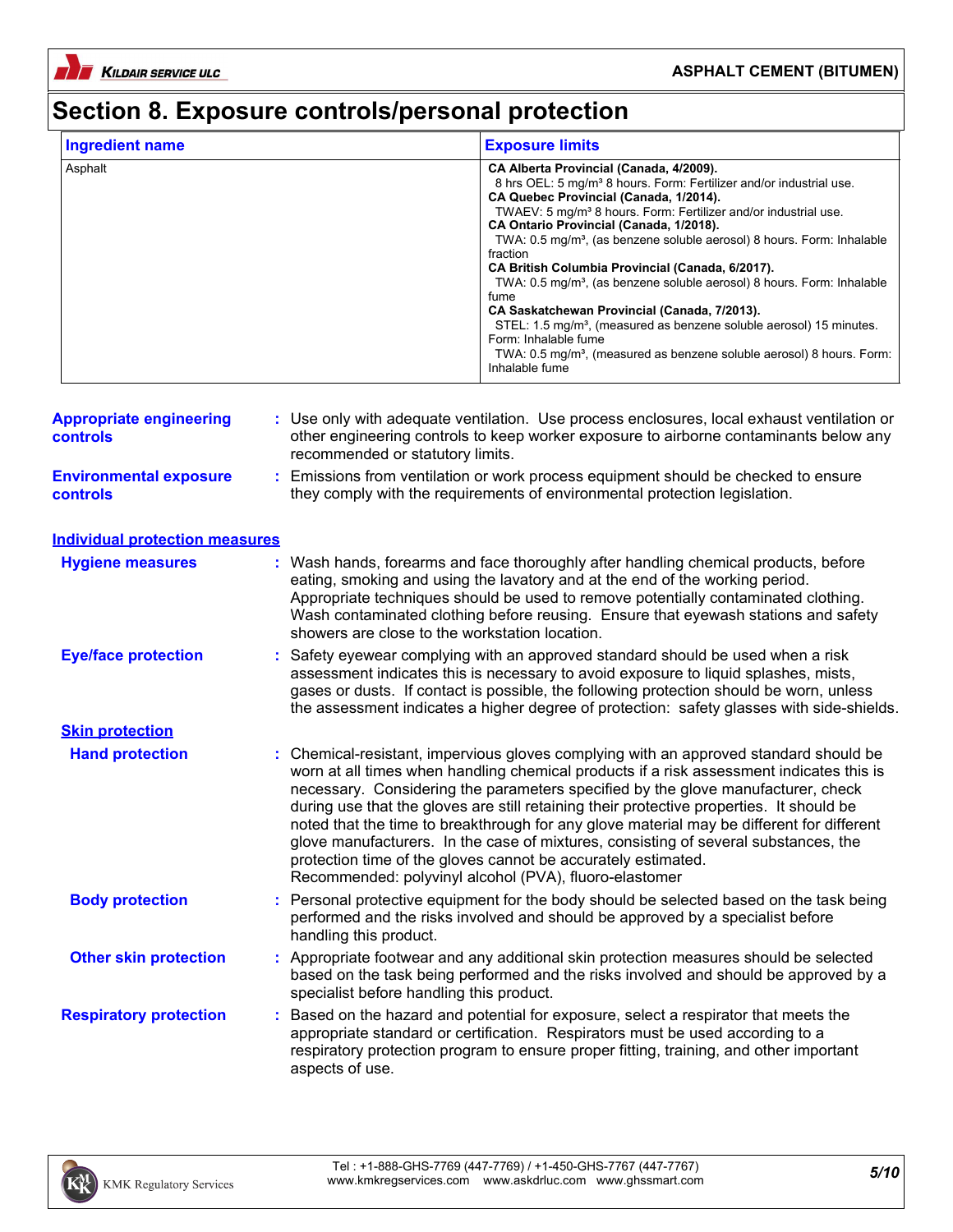

**KILDAIR SERVICE ULC** 

### **ASPHALT CEMENT (BITUMEN)**

# **Section 8. Exposure controls/personal protection**

| <b>Ingredient name</b> | <b>Exposure limits</b>                                                             |
|------------------------|------------------------------------------------------------------------------------|
| Asphalt                | CA Alberta Provincial (Canada, 4/2009).                                            |
|                        | 8 hrs OEL: 5 mg/m <sup>3</sup> 8 hours. Form: Fertilizer and/or industrial use.    |
|                        | CA Quebec Provincial (Canada, 1/2014).                                             |
|                        | TWAEV: 5 mg/m <sup>3</sup> 8 hours. Form: Fertilizer and/or industrial use.        |
|                        | CA Ontario Provincial (Canada, 1/2018).                                            |
|                        | TWA: 0.5 mg/m <sup>3</sup> , (as benzene soluble aerosol) 8 hours. Form: Inhalable |
|                        | fraction                                                                           |
|                        | CA British Columbia Provincial (Canada, 6/2017).                                   |
|                        | TWA: 0.5 mg/m <sup>3</sup> , (as benzene soluble aerosol) 8 hours. Form: Inhalable |
|                        | fume                                                                               |
|                        | CA Saskatchewan Provincial (Canada, 7/2013).                                       |
|                        | STEL: 1.5 mg/m <sup>3</sup> , (measured as benzene soluble aerosol) 15 minutes.    |
|                        | Form: Inhalable fume                                                               |
|                        | TWA: 0.5 mg/m <sup>3</sup> , (measured as benzene soluble aerosol) 8 hours. Form:  |
|                        | Inhalable fume                                                                     |

| <b>Appropriate engineering</b><br>controls       | : Use only with adequate ventilation. Use process enclosures, local exhaust ventilation or<br>other engineering controls to keep worker exposure to airborne contaminants below any<br>recommended or statutory limits.                                                                                                                                                                                                                                                                                                                                                                                                                                                          |
|--------------------------------------------------|----------------------------------------------------------------------------------------------------------------------------------------------------------------------------------------------------------------------------------------------------------------------------------------------------------------------------------------------------------------------------------------------------------------------------------------------------------------------------------------------------------------------------------------------------------------------------------------------------------------------------------------------------------------------------------|
| <b>Environmental exposure</b><br><b>controls</b> | Emissions from ventilation or work process equipment should be checked to ensure<br>÷<br>they comply with the requirements of environmental protection legislation.                                                                                                                                                                                                                                                                                                                                                                                                                                                                                                              |
| <b>Individual protection measures</b>            |                                                                                                                                                                                                                                                                                                                                                                                                                                                                                                                                                                                                                                                                                  |
| <b>Hygiene measures</b>                          | Wash hands, forearms and face thoroughly after handling chemical products, before<br>eating, smoking and using the lavatory and at the end of the working period.<br>Appropriate techniques should be used to remove potentially contaminated clothing.<br>Wash contaminated clothing before reusing. Ensure that eyewash stations and safety<br>showers are close to the workstation location.                                                                                                                                                                                                                                                                                  |
| <b>Eye/face protection</b>                       | : Safety eyewear complying with an approved standard should be used when a risk<br>assessment indicates this is necessary to avoid exposure to liquid splashes, mists,<br>gases or dusts. If contact is possible, the following protection should be worn, unless<br>the assessment indicates a higher degree of protection: safety glasses with side-shields.                                                                                                                                                                                                                                                                                                                   |
| <b>Skin protection</b>                           |                                                                                                                                                                                                                                                                                                                                                                                                                                                                                                                                                                                                                                                                                  |
| <b>Hand protection</b>                           | : Chemical-resistant, impervious gloves complying with an approved standard should be<br>worn at all times when handling chemical products if a risk assessment indicates this is<br>necessary. Considering the parameters specified by the glove manufacturer, check<br>during use that the gloves are still retaining their protective properties. It should be<br>noted that the time to breakthrough for any glove material may be different for different<br>glove manufacturers. In the case of mixtures, consisting of several substances, the<br>protection time of the gloves cannot be accurately estimated.<br>Recommended: polyvinyl alcohol (PVA), fluoro-elastomer |
| <b>Body protection</b>                           | Personal protective equipment for the body should be selected based on the task being<br>performed and the risks involved and should be approved by a specialist before<br>handling this product.                                                                                                                                                                                                                                                                                                                                                                                                                                                                                |
| <b>Other skin protection</b>                     | : Appropriate footwear and any additional skin protection measures should be selected<br>based on the task being performed and the risks involved and should be approved by a<br>specialist before handling this product.                                                                                                                                                                                                                                                                                                                                                                                                                                                        |
| <b>Respiratory protection</b>                    | Based on the hazard and potential for exposure, select a respirator that meets the<br>÷<br>appropriate standard or certification. Respirators must be used according to a<br>respiratory protection program to ensure proper fitting, training, and other important<br>aspects of use.                                                                                                                                                                                                                                                                                                                                                                                           |

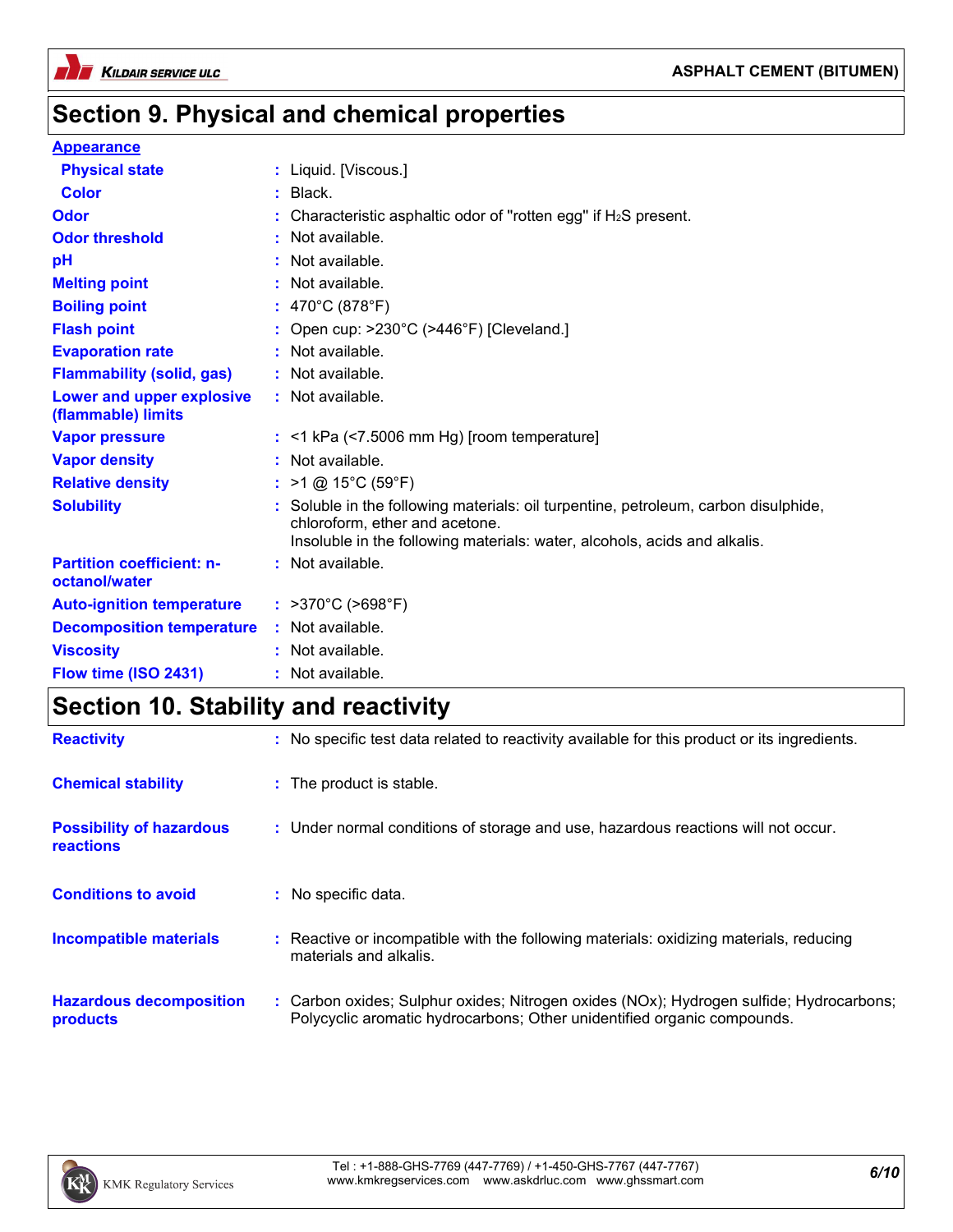

### **Section 9. Physical and chemical properties**

#### **Appearance**

| <b>Physical state</b>                             | : Liquid. [Viscous.]                                                                                                                                                                               |
|---------------------------------------------------|----------------------------------------------------------------------------------------------------------------------------------------------------------------------------------------------------|
| <b>Color</b>                                      | $:$ Black.                                                                                                                                                                                         |
| Odor                                              | : Characteristic asphaltic odor of "rotten egg" if $H_2S$ present.                                                                                                                                 |
| <b>Odor threshold</b>                             | $\cdot$ Not available.                                                                                                                                                                             |
| pH                                                | : Not available.                                                                                                                                                                                   |
| <b>Melting point</b>                              | : Not available.                                                                                                                                                                                   |
| <b>Boiling point</b>                              | : $470^{\circ}$ C (878 $^{\circ}$ F)                                                                                                                                                               |
| <b>Flash point</b>                                | : Open cup: >230°C (>446°F) [Cleveland.]                                                                                                                                                           |
| <b>Evaporation rate</b>                           | : Not available.                                                                                                                                                                                   |
| <b>Flammability (solid, gas)</b>                  | : Not available.                                                                                                                                                                                   |
| Lower and upper explosive<br>(flammable) limits   | : Not available.                                                                                                                                                                                   |
| <b>Vapor pressure</b>                             | $:$ <1 kPa (<7.5006 mm Hg) [room temperature]                                                                                                                                                      |
| <b>Vapor density</b>                              | : Not available.                                                                                                                                                                                   |
| <b>Relative density</b>                           | : $>1$ @ 15°C (59°F)                                                                                                                                                                               |
| <b>Solubility</b>                                 | : Soluble in the following materials: oil turpentine, petroleum, carbon disulphide,<br>chloroform, ether and acetone.<br>Insoluble in the following materials: water, alcohols, acids and alkalis. |
| <b>Partition coefficient: n-</b><br>octanol/water | : Not available.                                                                                                                                                                                   |
| <b>Auto-ignition temperature</b>                  | : $>370^{\circ}$ C ( $>698^{\circ}$ F)                                                                                                                                                             |
| <b>Decomposition temperature</b>                  | : Not available.                                                                                                                                                                                   |
| <b>Viscosity</b>                                  | : Not available.                                                                                                                                                                                   |
| Flow time (ISO 2431)                              | : Not available.                                                                                                                                                                                   |

# **Section 10. Stability and reactivity**

| <b>Reactivity</b>                            | : No specific test data related to reactivity available for this product or its ingredients.                                                                       |
|----------------------------------------------|--------------------------------------------------------------------------------------------------------------------------------------------------------------------|
| <b>Chemical stability</b>                    | : The product is stable.                                                                                                                                           |
| <b>Possibility of hazardous</b><br>reactions | : Under normal conditions of storage and use, hazardous reactions will not occur.                                                                                  |
| <b>Conditions to avoid</b>                   | : No specific data.                                                                                                                                                |
| <b>Incompatible materials</b>                | : Reactive or incompatible with the following materials: oxidizing materials, reducing<br>materials and alkalis.                                                   |
| <b>Hazardous decomposition</b><br>products   | : Carbon oxides; Sulphur oxides; Nitrogen oxides (NOx); Hydrogen sulfide; Hydrocarbons;<br>Polycyclic aromatic hydrocarbons; Other unidentified organic compounds. |

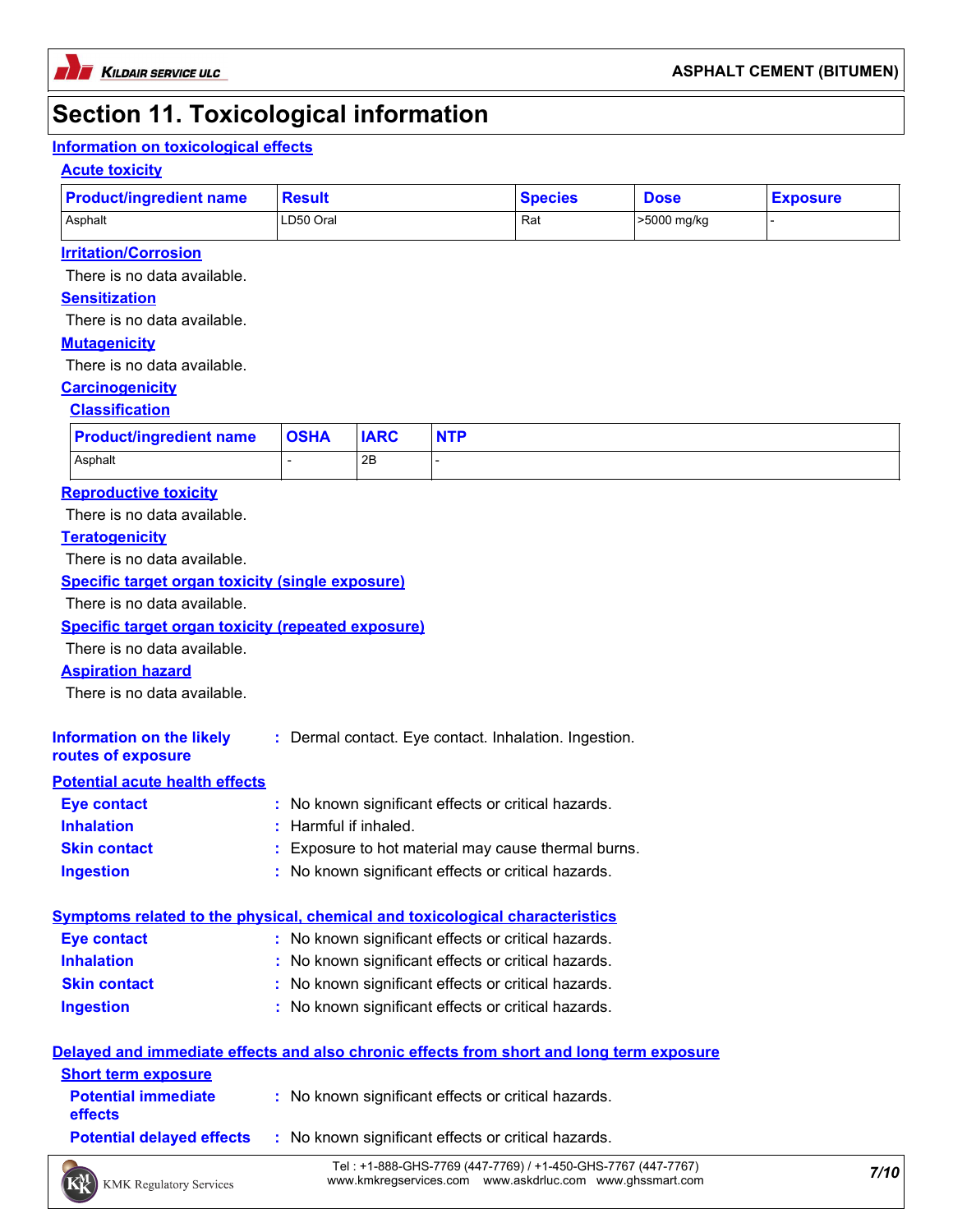### **Section 11. Toxicological information**

### **Information on toxicological effects**

#### **Acute toxicity**

| <b>Product/ingredient name</b> | <b>Result</b> | <b>Species</b> | <b>Dose</b> | <b>Exposure</b> |
|--------------------------------|---------------|----------------|-------------|-----------------|
| Asphalt                        | LD50 Oral     | Raเ            | >5000 mg/kg |                 |

#### **Irritation/Corrosion**

There is no data available.

#### **Sensitization**

There is no data available.

#### **Mutagenicity**

There is no data available.

#### **Carcinogenicity**

#### **Classification**

| <b>Product/ingredient name</b> | <b>OSHA</b> | <b>IARC</b> | <b>NTP</b> |
|--------------------------------|-------------|-------------|------------|
| Asphalt                        |             | 2B          |            |

#### **Reproductive toxicity**

There is no data available.

#### **Teratogenicity**

There is no data available.

#### **Specific target organ toxicity (single exposure)**

There is no data available.

#### **Specific target organ toxicity (repeated exposure)**

There is no data available.

#### **Aspiration hazard**

There is no data available.

| <b>Information on the likely</b> | : Dermal contact. Eye contact. Inhalation. Ingestion. |
|----------------------------------|-------------------------------------------------------|
| routes of exposure               |                                                       |

#### **Potential acute health effects**

| Eye contact         | : No known significant effects or critical hazards. |  |
|---------------------|-----------------------------------------------------|--|
| <b>Inhalation</b>   | : Harmful if inhaled.                               |  |
| <b>Skin contact</b> | : Exposure to hot material may cause thermal burns. |  |
| <b>Ingestion</b>    | : No known significant effects or critical hazards. |  |

#### **Symptoms related to the physical, chemical and toxicological characteristics**

| Eye contact         | : No known significant effects or critical hazards. |
|---------------------|-----------------------------------------------------|
| <b>Inhalation</b>   | : No known significant effects or critical hazards. |
| <b>Skin contact</b> | : No known significant effects or critical hazards. |
| <b>Ingestion</b>    | : No known significant effects or critical hazards. |

|                                              | Delayed and immediate effects and also chronic effects from short and long term exposure |
|----------------------------------------------|------------------------------------------------------------------------------------------|
| <b>Short term exposure</b>                   |                                                                                          |
| <b>Potential immediate</b><br><b>effects</b> | : No known significant effects or critical hazards.                                      |
|                                              | <b>Potential delayed effects : No known significant effects or critical hazards.</b>     |
|                                              | Tel: +1_888_CHS_7760 (117_7760) (+1_150_CHS_7767 (117_7767)                              |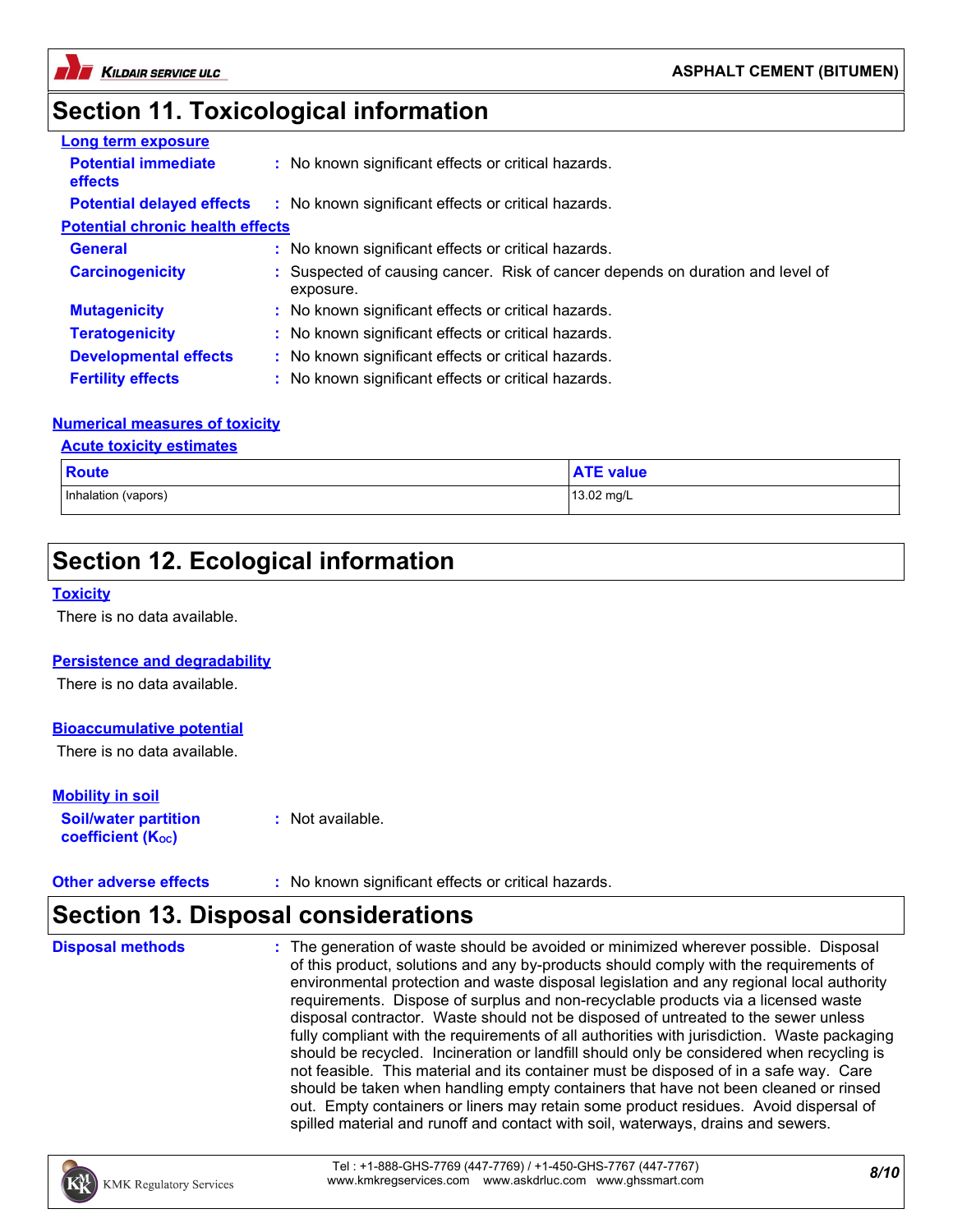



## **Section 11. Toxicological information**

| <b>Long term exposure</b>                    |                                                                                             |  |
|----------------------------------------------|---------------------------------------------------------------------------------------------|--|
| <b>Potential immediate</b><br><b>effects</b> | : No known significant effects or critical hazards.                                         |  |
| <b>Potential delayed effects</b>             | : No known significant effects or critical hazards.                                         |  |
| <b>Potential chronic health effects</b>      |                                                                                             |  |
| <b>General</b>                               | : No known significant effects or critical hazards.                                         |  |
| <b>Carcinogenicity</b>                       | : Suspected of causing cancer. Risk of cancer depends on duration and level of<br>exposure. |  |
| <b>Mutagenicity</b>                          | : No known significant effects or critical hazards.                                         |  |
| <b>Teratogenicity</b>                        | : No known significant effects or critical hazards.                                         |  |
| <b>Developmental effects</b>                 | : No known significant effects or critical hazards.                                         |  |
| <b>Fertility effects</b>                     | : No known significant effects or critical hazards.                                         |  |

#### **Numerical measures of toxicity**

#### **Acute toxicity estimates**

| <b>Route</b>        | <b>ATE value</b> |
|---------------------|------------------|
| Inhalation (vapors) | 13.02 mg/L       |

### **Section 12. Ecological information**

#### **Toxicity**

There is no data available.

#### **Persistence and degradability**

There is no data available.

#### **Bioaccumulative potential**

There is no data available.

#### **Mobility in soil**

| <b>Soil/water partition</b> | $:$ Not available. |
|-----------------------------|--------------------|
| <b>coefficient (Koc)</b>    |                    |

| • No known significant effects or critical hazards.<br><b>Other adverse effects</b> |  |
|-------------------------------------------------------------------------------------|--|
|-------------------------------------------------------------------------------------|--|

### **Section 13. Disposal considerations**

| <b>Disposal methods</b> | : The generation of waste should be avoided or minimized wherever possible. Disposal<br>of this product, solutions and any by-products should comply with the requirements of<br>environmental protection and waste disposal legislation and any regional local authority<br>requirements. Dispose of surplus and non-recyclable products via a licensed waste<br>disposal contractor. Waste should not be disposed of untreated to the sewer unless<br>fully compliant with the requirements of all authorities with jurisdiction. Waste packaging<br>should be recycled. Incineration or landfill should only be considered when recycling is<br>not feasible. This material and its container must be disposed of in a safe way. Care<br>should be taken when handling empty containers that have not been cleaned or rinsed<br>out. Empty containers or liners may retain some product residues. Avoid dispersal of |
|-------------------------|-------------------------------------------------------------------------------------------------------------------------------------------------------------------------------------------------------------------------------------------------------------------------------------------------------------------------------------------------------------------------------------------------------------------------------------------------------------------------------------------------------------------------------------------------------------------------------------------------------------------------------------------------------------------------------------------------------------------------------------------------------------------------------------------------------------------------------------------------------------------------------------------------------------------------|
|                         | spilled material and runoff and contact with soil, waterways, drains and sewers.                                                                                                                                                                                                                                                                                                                                                                                                                                                                                                                                                                                                                                                                                                                                                                                                                                        |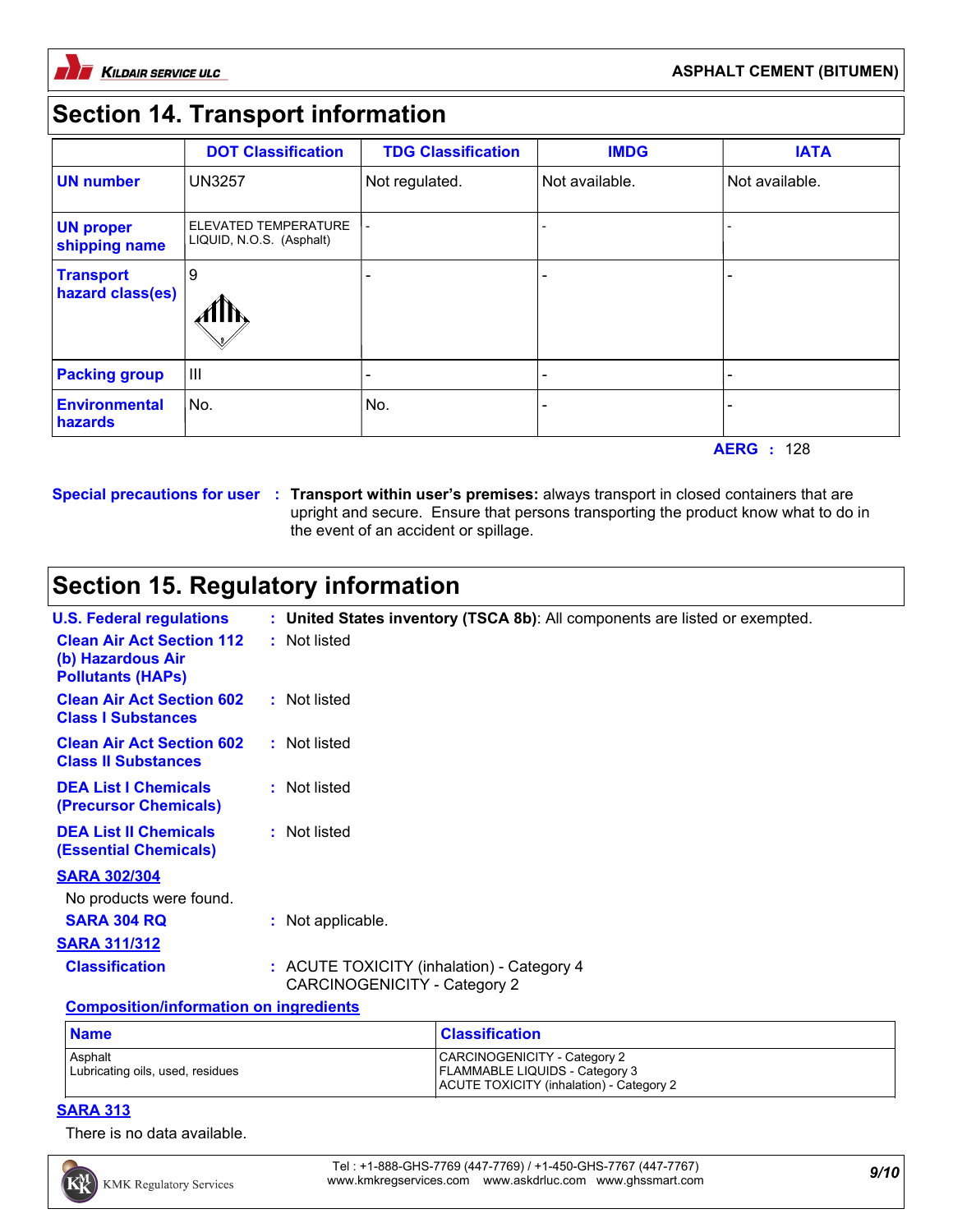

#### **ASPHALT CEMENT (BITUMEN)**

## **Section 14. Transport information**

|                                      | <b>DOT Classification</b>                        | <b>TDG Classification</b> | <b>IMDG</b>    | <b>IATA</b>    |
|--------------------------------------|--------------------------------------------------|---------------------------|----------------|----------------|
| <b>UN number</b>                     | <b>UN3257</b>                                    | Not regulated.            | Not available. | Not available. |
| <b>UN proper</b><br>shipping name    | ELEVATED TEMPERATURE<br>LIQUID, N.O.S. (Asphalt) |                           |                |                |
| <b>Transport</b><br>hazard class(es) | 9<br>- 41 E                                      |                           |                |                |
| <b>Packing group</b>                 | $\mathbf{III}$                                   |                           |                |                |
| Environmental<br>hazards             | No.                                              | No.                       |                |                |

**AERG :** 128

**Special precautions for user Transport within user's premises:** always transport in closed containers that are **:** upright and secure. Ensure that persons transporting the product know what to do in the event of an accident or spillage.

# **Section 15. Regulatory information**

| <b>U.S. Federal regulations</b>                                                   | : United States inventory (TSCA 8b): All components are listed or exempted.       |
|-----------------------------------------------------------------------------------|-----------------------------------------------------------------------------------|
| <b>Clean Air Act Section 112</b><br>(b) Hazardous Air<br><b>Pollutants (HAPS)</b> | : Not listed                                                                      |
| <b>Clean Air Act Section 602</b><br><b>Class I Substances</b>                     | : Not listed                                                                      |
| <b>Clean Air Act Section 602</b><br><b>Class II Substances</b>                    | : Not listed                                                                      |
| <b>DEA List I Chemicals</b><br>(Precursor Chemicals)                              | : Not listed                                                                      |
| <b>DEA List II Chemicals</b><br><b>(Essential Chemicals)</b>                      | : Not listed                                                                      |
| <b>SARA 302/304</b>                                                               |                                                                                   |
| No products were found.                                                           |                                                                                   |
| <b>SARA 304 RQ</b>                                                                | : Not applicable.                                                                 |
| <b>SARA 311/312</b>                                                               |                                                                                   |
| <b>Classification</b>                                                             | : ACUTE TOXICITY (inhalation) - Category 4<br><b>CARCINOGENICITY - Category 2</b> |
| <b>Composition/information on ingredients</b>                                     |                                                                                   |

| <b>Name</b>                                 | <b>Classification</b>                                                                                             |
|---------------------------------------------|-------------------------------------------------------------------------------------------------------------------|
| Asphalt<br>Lubricating oils, used, residues | CARCINOGENICITY - Category 2<br><b>FLAMMABLE LIQUIDS - Category 3</b><br>ACUTE TOXICITY (inhalation) - Category 2 |

#### **SARA 313**

There is no data available.